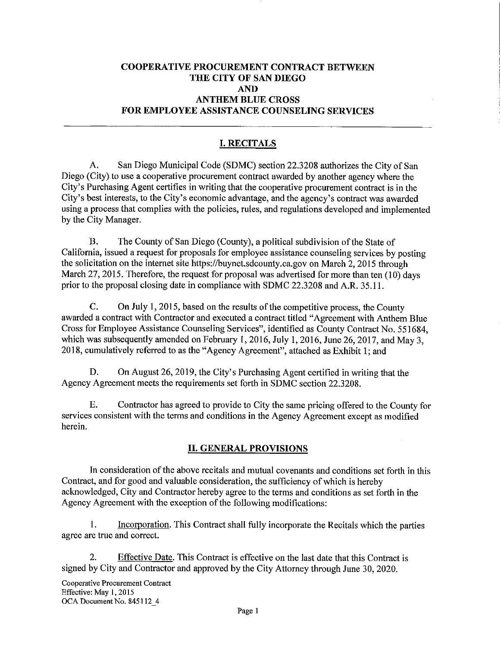# **COOPERATIVE PROCUREMENT CONTRACT BETWEEN THE CITY OF SAN DIEGO AND ANTHEM BLUE CROSS FOR EMPLOYEE ASSISTANCE COUNSELING SERVICES**

# **I.RECITALS**

A. San Diego Municipal Code (SDMC) section 22.3208 authorizes the City of San Diego (City) to use a cooperative procurement contract awarded by another agency where the City's Purchasing Agent certifies in writing that the cooperative procurement contract is in the City's best interests, to the City's economic advantage, and the agency's contract was awarded using a process that complies with the policies, rules, and regulations developed and implemented by the City Manager.

B. The County of San Diego (County), a political subdivision of the State of California, issued a request for proposals for employee assistance counseling services by posting the solicitation on the internet site https://buynet.sdcounty.ca.gov on March 2, 2015 through March 27, 2015. Therefore, the request for proposal was advertised for more than ten (10) days prior to the proposal closing date in compliance with SDMC 22.3208 and A.R. 35.11.

C. On July 1, 2015, based on the results of the competitive process, the County awarded a contract with Contractor and executed a contract titled "Agreement with Anthem Blue Cross for Employee Assistance Counseling Services", identified as County Contract No. 551684, which was subsequently amended on February 1, 2016, July 1, 2016, June 26, 2017, and May 3, 2018, cumulatively referred to as the "Agency Agreement", attached as Exhibit 1; and

D. On August 26, 2019, the City's Purchasing Agent certified in writing that the Agency Agreement meets the requirements set forth in SDMC section 22.3208.

E. Contractor has agreed to provide to City the same pricing offered to the County for services consistent with the terms and conditions in the Agency Agreement except as modified herein.

#### II. **GENERAL PROVISIONS**

In consideration of the above recitals and mutual covenants and conditions set forth in this Contract, and for good and valuable consideration, the sufficiency of which is hereby acknowledged, City and Contractor hereby agree to the terms and conditions as set forth in the Agency Agreement with the exception of the following modifications:

1. Incorporation. This Contract shall fully incorporate the Recitals which the parties agree are true and correct.

2. Effective Date. This Contract is effective on the last date that this Contract is signed by City and Contractor and approved by the City Attorney through June 30, 2020.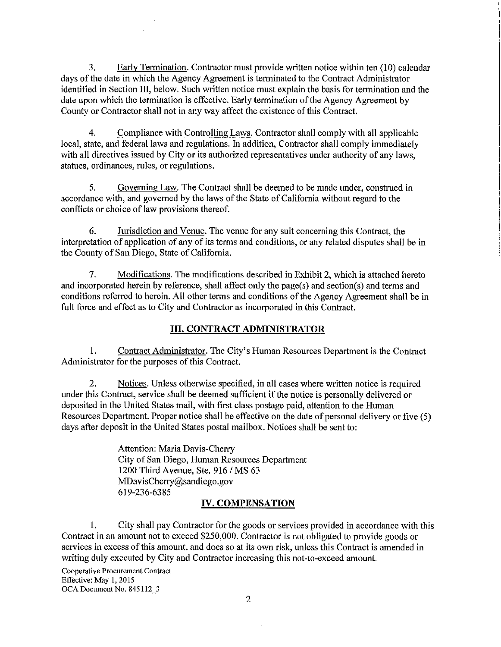3. Early Termination. Contractor must provide written notice within ten (10) calendar days of the date in which the Agency Agreement is terminated to the Contract Administrator identified in Section III, below. Such written notice must explain the basis for termination and the date upon which the termination is effective. Early termination of the Agency Agreement by County or Contractor shall not in any way affect the existence of this Contract.

4. Compliance with Controlling Laws. Contractor shall comply with all applicable local, state, and federal laws and regulations. In addition, Contractor shall comply immediately with all directives issued by City or its authorized representatives under authority of any laws, statues, ordinances, rules, or regulations.

5. Governing Law. The Contract shall be deemed to be made under, construed in accordance with, and governed by the laws of the State of California without regard to the conflicts or choice of law provisions thereof.

6. Jurisdiction and Venue. The venue for any suit concerning this Contract, the interpretation of application of any of its terms and conditions, or any related disputes shall be in the County of San Diego, State of California.

7. Modifications. The modifications described in Exhibit 2, which is attached hereto and incorporated herein by reference, shall affect only the page(s) and section(s) and terms and conditions referred to herein. All other terms and conditions of the Agency Agreement shall be in full force and effect as to City and Contractor as incorporated in this Contract.

#### **III. CONTRACT ADMINISTRATOR**

1. Contract Administrator. The City's Human Resources Department is the Contract Administrator for the purposes of this Contract.

2. Notices. Unless otherwise specified, in all cases where written notice is required under this Contract, service shall be deemed sufficient if the notice is personally delivered or deposited in the United States mail, with first class postage paid, attention to the Human Resources Department. Proper notice shall be effective on the date of personal delivery or five (5) days after deposit in the United States postal mailbox. Notices shall be sent to:

> Attention: Maria Davis-Cherry City of San Diego, Human Resources Department 1200 Third Avenue, Ste. 916 / MS 63 MDavisCherry@sandiego.gov 619-236-6385

#### **IV. COMPENSATION**

I. City shall pay Contractor for the goods or services provided in accordance with this Contract in an amount not to exceed \$250,000. Contractor is not obligated to provide goods or services in excess of this amount, and does so at its own risk, unless this Contract is amended in writing duly executed by City and Contractor increasing this not-to-exceed amount.

**Cooperative Procurement Contract**  Effective: May 1, 2015 OCA Document No. 845112 \_3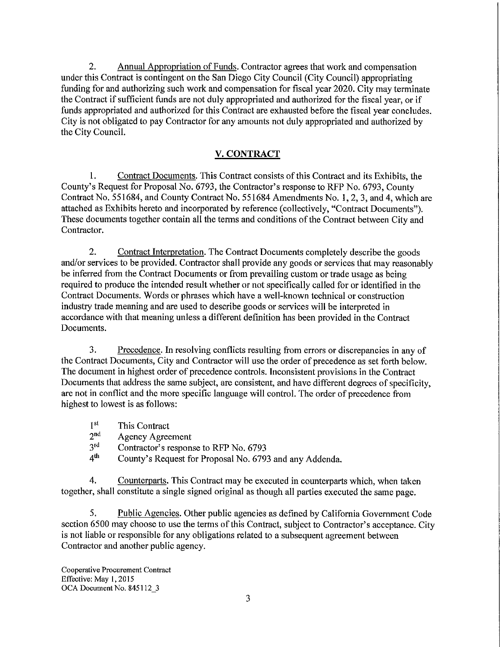2. Annual Appropriation of Funds. Contractor agrees that work and compensation under this Contract is contingent on the San Diego City Council (City Council) appropriating funding for and authorizing such work and compensation for fiscal year 2020. City may terminate the Contract if sufficient funds are not duly appropriated and authorized for the fiscal year, or if funds appropriated and authorized for this Contract are exhausted before the fiscal year concludes. City is not obligated to pay Contractor for any amounts not duly appropriated and authorized by the City Council.

### **V.CONTRACT**

I. Contract Documents. This Contract consists of this Contract and its Exhibits, the County's Request for Proposal No. 6793, the Contractor's response to RFP No. 6793, County Contract No. 551684, and County Contract No. 551684 Amendments No. I, 2, 3, and 4, which are attached as Exhibits hereto and incorporated by reference ( collectively, "Contract Documents"). These documents together contain all the terms and conditions of the Contract between City and Contractor.

2. Contract Interpretation. The Contract Documents completely describe the goods and/or services to be provided. Contractor shall provide any goods or services that may reasonably be inferred from the Contract Documents or from prevailing custom or trade usage as being required to produce the intended result whether or not specifically called for or identified in the Contract Documents. Words or phrases which have a well-known technical or construction industry trade meaning and are used to describe goods or services will be interpreted in accordance with that meaning unless a different definition has been provided in the Contract Documents.

3. Precedence. In resolving conflicts resulting from errors or discrepancies in any of the Contract Documents, City and Contractor will use the order of precedence as set forth below. The document in highest order of precedence controls. Inconsistent provisions in the Contract Documents that address the same subject, are consistent, and have different degrees of specificity, are not in conflict and the more specific language will control. The order of precedence from highest to lowest is as follows:

- $1<sup>st</sup>$  This Contract<br>  $2<sup>nd</sup>$  Agency Agree
- $2<sup>nd</sup>$  Agency Agreement<br> $3<sup>rd</sup>$  Contractor's respon-
- $3<sup>rd</sup>$  Contractor's response to RFP No. 6793<br> $4<sup>th</sup>$  County's Request for Proposal No. 6793
- County's Request for Proposal No. 6793 and any Addenda.

4. Counterparts. This Contract may be executed in counterparts which, when taken together, shall constitute a single signed original as though all parties executed the same page.

5. Public Agencies. Other public agencies as defined by California Government Code section 6500 may choose to use the terms of this Contract, subject to Contractor's acceptance. City is not liable or responsible for any obligations related to a subsequent agreement between Contractor and another public agency.

**Cooperative Procurement Contract**  Effective: May I, 2015 OCA Document No. 845112\_3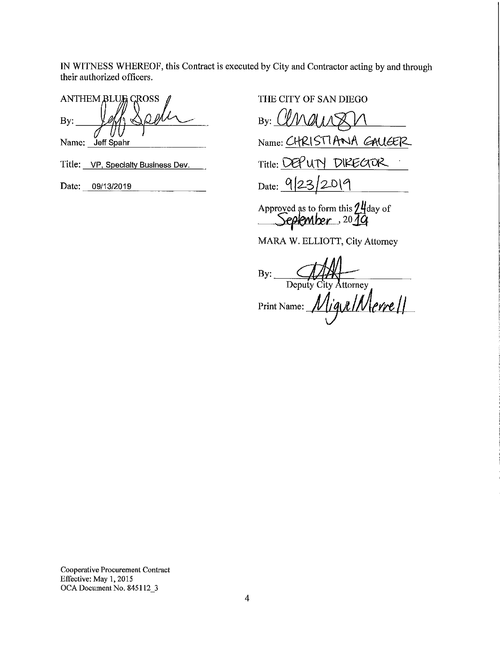IN WITNESS WHEREOF, this Contract is executed by City and Contractor acting by and through their authorized officers.

ANTHEM BLUE CROSS Name: Jeff Spahr

Title: VP, Specialty Business Dev.

Date: 09/13/2019

THE CITY OF SAN DIEGO

 $By:$  *(IM )*  $11\sqrt{2}$  $Name: CHRISTI$ ANA  $GALGER$ Title: DEP UTY DIRECTOR Date: 9/23/2019

Approved as to form this 24 day of<br>September<sub>2019</sub>

MARA W. ELLIOTT, City Attorney

 $\frac{1}{\text{Deputy City Attonev}}$ Print Name: *[<u>Migue | Merre | |</u>* 

**Cooperative Procurement Contract**  Effective: May 1, 2015 OCA Document No. 845112 \_3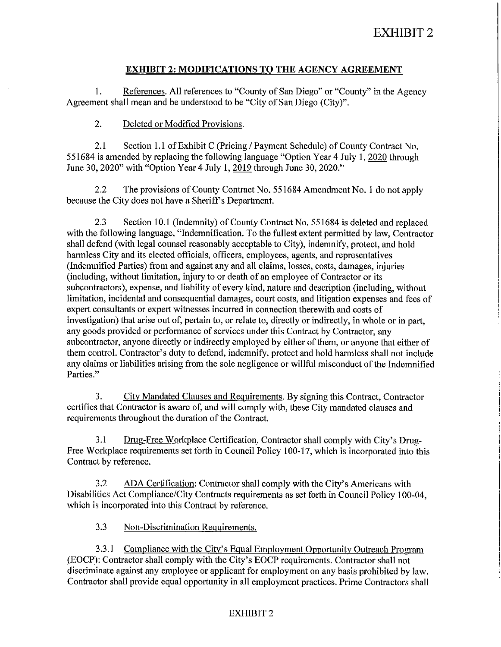# **EXHIBIT 2: MODIFICATIONS TO THE AGENCY AGREEMENT**

I. References. All references to "County of San Diego" or "County" in the Agency Agreement shall mean and be understood to be "City of San Diego (City)".

## 2. Deleted or Modified Provisions.

2.1 Section I.I of Exhibit C (Pricing/ Payment Schedule) of County Contract No. 551684 is amended by replacing the following language "Option Year 4 July I, 2020 through June 30, 2020" with "Option Year4 July I, 2019 through June 30, 2020."

2.2 The provisions of County Contract No. 551684 Amendment No. I do not apply because the City does not have a Sheriff's Department.

2.3 Section 10.1 (Indemnity) of County Contract No. 551684 is deleted and replaced with the following language, "Indemnification. To the fullest extent permitted by law, Contractor shall defend (with legal counsel reasonably acceptable to City), indemnify, protect, and hold harmless City and its elected officials, officers, employees, agents, and representatives (Indemnified Parties) from and against any and all claims, losses, costs, damages, injuries (including, without limitation, injury to or death of an employee of Contractor or its subcontractors), expense, and liability of every kind, nature and description (including, without limitation, incidental and consequential damages, court costs, and litigation expenses and fees of expert consultants or expert witnesses incurred in connection therewith and costs of investigation) that arise out of, pertain to, or relate to, directly or indirectly, in whole or in part, any goods provided or performance of services under this Contract by Contractor, any subcontractor, anyone directly or indirectly employed by either of them, or anyone that either of them control. Contractor's duty to defend, indemnify, protect and hold harmless shall not include any claims or liabilities arising from the sole negligence or willful misconduct of the Indemnified Parties."

3. City Mandated Clauses and Requirements. By signing this Contract, Contractor certifies that Contractor is aware of, and will comply with, these City mandated clauses and requirements throughout the duration of the Contract.

3.1 Drug-Free Workplace Certification. Contractor shall comply with City's Drug-Free Workplace requirements set forth in Council Policy 100-17, which is incorporated into this Contract by reference.

3.2 ADA Certification: Contractor shall comply with the City's Americans with Disabilities Act Compliance/City Contracts requirements as set forth in Council Policy I 00-04, which is incorporated into this Contract by reference.

3.3 Non-Discrimination Requirements.

3.3.1 Compliance with the City's Equal Employment Opportunity Outreach Program (EOCP): Contractor shall comply with the City's EOCP requirements. Contractor shall not discriminate against any employee or applicant for employment on any basis prohibited by law. Contractor shall provide equal opportunity in all employment practices. Prime Contractors shall

## EXHIBIT 2